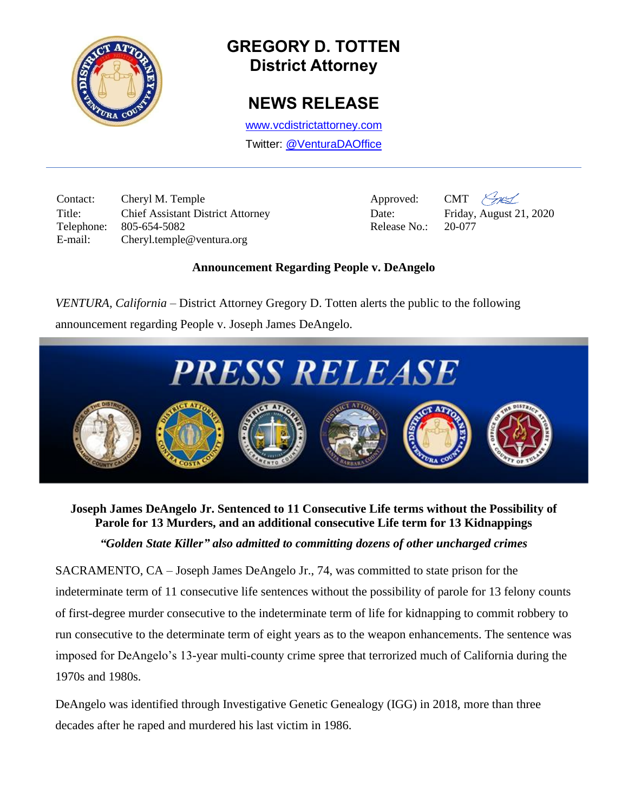

# **GREGORY D. TOTTEN District Attorney**

## **NEWS RELEASE**

[www.vcdistrictattorney.com](http://www.vcdistrictattorney.com/)

Twitter: [@VenturaDAOffice](https://twitter.com/venturadaoffice)

Contact: Cheryl M. Temple Approved: CMT  $\mathcal{L}_{\mathcal{H}}$ Title: Chief Assistant District Attorney Date: Friday, August 21, 2020 Telephone: 805-654-5082 Release No.: 20-077 E-mail: Cheryl.temple@ventura.org



#### **Announcement Regarding People v. DeAngelo**

*VENTURA, California* – District Attorney Gregory D. Totten alerts the public to the following announcement regarding People v. Joseph James DeAngelo.



## **Joseph James DeAngelo Jr. Sentenced to 11 Consecutive Life terms without the Possibility of Parole for 13 Murders, and an additional consecutive Life term for 13 Kidnappings**

## *"Golden State Killer" also admitted to committing dozens of other uncharged crimes*

SACRAMENTO, CA – Joseph James DeAngelo Jr., 74, was committed to state prison for the indeterminate term of 11 consecutive life sentences without the possibility of parole for 13 felony counts of first-degree murder consecutive to the indeterminate term of life for kidnapping to commit robbery to run consecutive to the determinate term of eight years as to the weapon enhancements. The sentence was imposed for DeAngelo's 13-year multi-county crime spree that terrorized much of California during the 1970s and 1980s.

DeAngelo was identified through Investigative Genetic Genealogy (IGG) in 2018, more than three decades after he raped and murdered his last victim in 1986.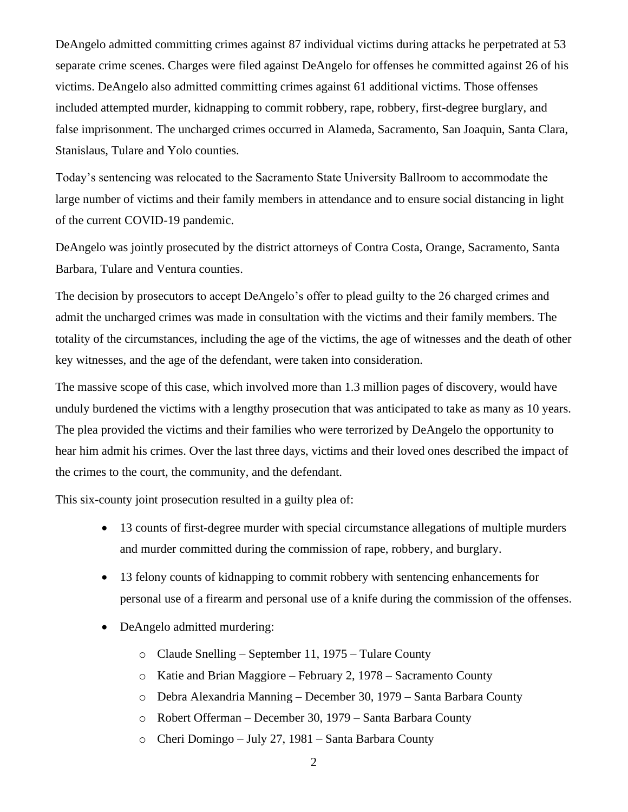DeAngelo admitted committing crimes against 87 individual victims during attacks he perpetrated at 53 separate crime scenes. Charges were filed against DeAngelo for offenses he committed against 26 of his victims. DeAngelo also admitted committing crimes against 61 additional victims. Those offenses included attempted murder, kidnapping to commit robbery, rape, robbery, first-degree burglary, and false imprisonment. The uncharged crimes occurred in Alameda, Sacramento, San Joaquin, Santa Clara, Stanislaus, Tulare and Yolo counties.

Today's sentencing was relocated to the Sacramento State University Ballroom to accommodate the large number of victims and their family members in attendance and to ensure social distancing in light of the current COVID-19 pandemic.

DeAngelo was jointly prosecuted by the district attorneys of Contra Costa, Orange, Sacramento, Santa Barbara, Tulare and Ventura counties.

The decision by prosecutors to accept DeAngelo's offer to plead guilty to the 26 charged crimes and admit the uncharged crimes was made in consultation with the victims and their family members. The totality of the circumstances, including the age of the victims, the age of witnesses and the death of other key witnesses, and the age of the defendant, were taken into consideration.

The massive scope of this case, which involved more than 1.3 million pages of discovery, would have unduly burdened the victims with a lengthy prosecution that was anticipated to take as many as 10 years. The plea provided the victims and their families who were terrorized by DeAngelo the opportunity to hear him admit his crimes. Over the last three days, victims and their loved ones described the impact of the crimes to the court, the community, and the defendant.

This six-county joint prosecution resulted in a guilty plea of:

- 13 counts of first-degree murder with special circumstance allegations of multiple murders and murder committed during the commission of rape, robbery, and burglary.
- 13 felony counts of kidnapping to commit robbery with sentencing enhancements for personal use of a firearm and personal use of a knife during the commission of the offenses.
- DeAngelo admitted murdering:
	- o Claude Snelling September 11, 1975 Tulare County
	- o Katie and Brian Maggiore February 2, 1978 Sacramento County
	- o Debra Alexandria Manning December 30, 1979 Santa Barbara County
	- o Robert Offerman December 30, 1979 Santa Barbara County
	- o Cheri Domingo July 27, 1981 Santa Barbara County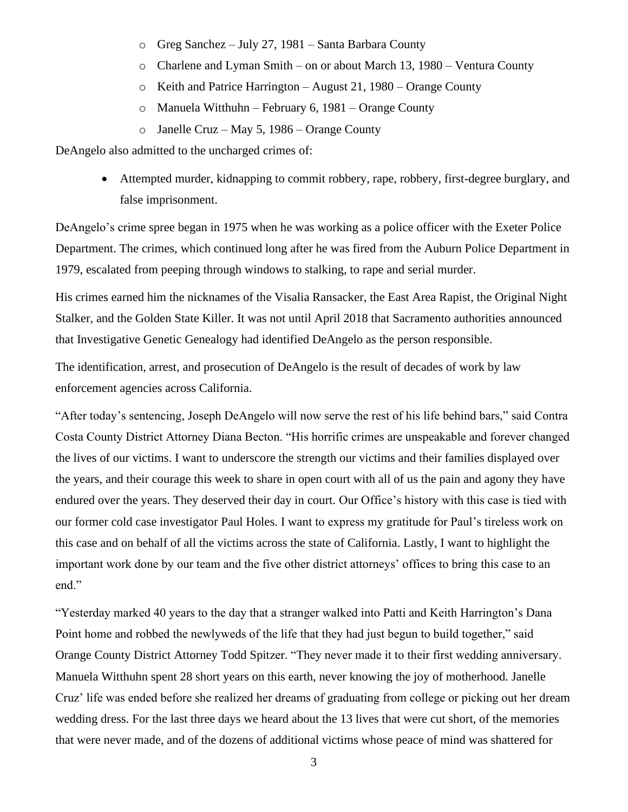- o Greg Sanchez July 27, 1981 Santa Barbara County
- o Charlene and Lyman Smith on or about March 13, 1980 Ventura County
- o Keith and Patrice Harrington August 21, 1980 Orange County
- o Manuela Witthuhn February 6, 1981 Orange County
- o Janelle Cruz May 5, 1986 Orange County

DeAngelo also admitted to the uncharged crimes of:

• Attempted murder, kidnapping to commit robbery, rape, robbery, first-degree burglary, and false imprisonment.

DeAngelo's crime spree began in 1975 when he was working as a police officer with the Exeter Police Department. The crimes, which continued long after he was fired from the Auburn Police Department in 1979, escalated from peeping through windows to stalking, to rape and serial murder.

His crimes earned him the nicknames of the Visalia Ransacker, the East Area Rapist, the Original Night Stalker, and the Golden State Killer. It was not until April 2018 that Sacramento authorities announced that Investigative Genetic Genealogy had identified DeAngelo as the person responsible.

The identification, arrest, and prosecution of DeAngelo is the result of decades of work by law enforcement agencies across California.

"After today's sentencing, Joseph DeAngelo will now serve the rest of his life behind bars," said Contra Costa County District Attorney Diana Becton. "His horrific crimes are unspeakable and forever changed the lives of our victims. I want to underscore the strength our victims and their families displayed over the years, and their courage this week to share in open court with all of us the pain and agony they have endured over the years. They deserved their day in court. Our Office's history with this case is tied with our former cold case investigator Paul Holes. I want to express my gratitude for Paul's tireless work on this case and on behalf of all the victims across the state of California. Lastly, I want to highlight the important work done by our team and the five other district attorneys' offices to bring this case to an end."

"Yesterday marked 40 years to the day that a stranger walked into Patti and Keith Harrington's Dana Point home and robbed the newlyweds of the life that they had just begun to build together," said Orange County District Attorney Todd Spitzer. "They never made it to their first wedding anniversary. Manuela Witthuhn spent 28 short years on this earth, never knowing the joy of motherhood. Janelle Cruz' life was ended before she realized her dreams of graduating from college or picking out her dream wedding dress. For the last three days we heard about the 13 lives that were cut short, of the memories that were never made, and of the dozens of additional victims whose peace of mind was shattered for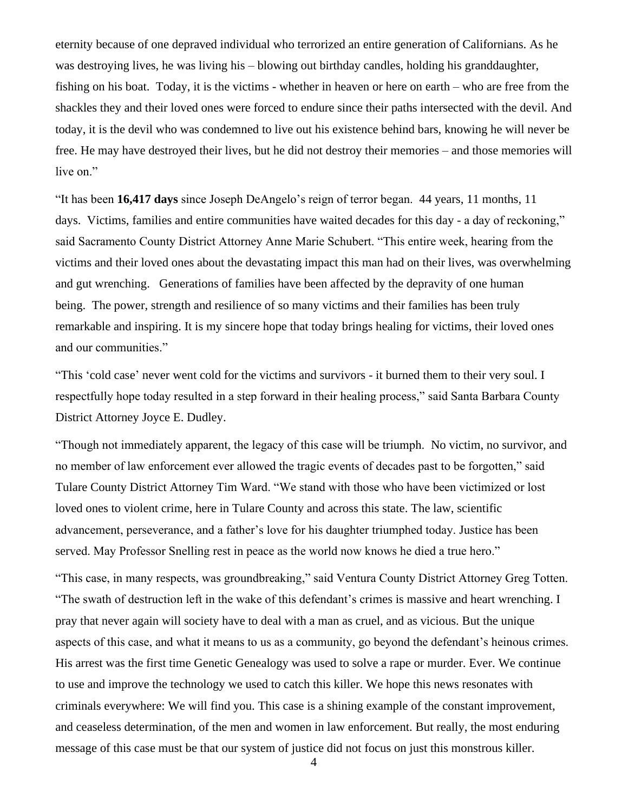eternity because of one depraved individual who terrorized an entire generation of Californians. As he was destroying lives, he was living his – blowing out birthday candles, holding his granddaughter, fishing on his boat. Today, it is the victims - whether in heaven or here on earth – who are free from the shackles they and their loved ones were forced to endure since their paths intersected with the devil. And today, it is the devil who was condemned to live out his existence behind bars, knowing he will never be free. He may have destroyed their lives, but he did not destroy their memories – and those memories will live on."

"It has been **16,417 days** since Joseph DeAngelo's reign of terror began. 44 years, 11 months, 11 days. Victims, families and entire communities have waited decades for this day - a day of reckoning," said Sacramento County District Attorney Anne Marie Schubert. "This entire week, hearing from the victims and their loved ones about the devastating impact this man had on their lives, was overwhelming and gut wrenching. Generations of families have been affected by the depravity of one human being. The power, strength and resilience of so many victims and their families has been truly remarkable and inspiring. It is my sincere hope that today brings healing for victims, their loved ones and our communities."

"This 'cold case' never went cold for the victims and survivors - it burned them to their very soul. I respectfully hope today resulted in a step forward in their healing process," said Santa Barbara County District Attorney Joyce E. Dudley.

"Though not immediately apparent, the legacy of this case will be triumph. No victim, no survivor, and no member of law enforcement ever allowed the tragic events of decades past to be forgotten," said Tulare County District Attorney Tim Ward. "We stand with those who have been victimized or lost loved ones to violent crime, here in Tulare County and across this state. The law, scientific advancement, perseverance, and a father's love for his daughter triumphed today. Justice has been served. May Professor Snelling rest in peace as the world now knows he died a true hero."

"This case, in many respects, was groundbreaking," said Ventura County District Attorney Greg Totten. "The swath of destruction left in the wake of this defendant's crimes is massive and heart wrenching. I pray that never again will society have to deal with a man as cruel, and as vicious. But the unique aspects of this case, and what it means to us as a community, go beyond the defendant's heinous crimes. His arrest was the first time Genetic Genealogy was used to solve a rape or murder. Ever. We continue to use and improve the technology we used to catch this killer. We hope this news resonates with criminals everywhere: We will find you. This case is a shining example of the constant improvement, and ceaseless determination, of the men and women in law enforcement. But really, the most enduring message of this case must be that our system of justice did not focus on just this monstrous killer.

4